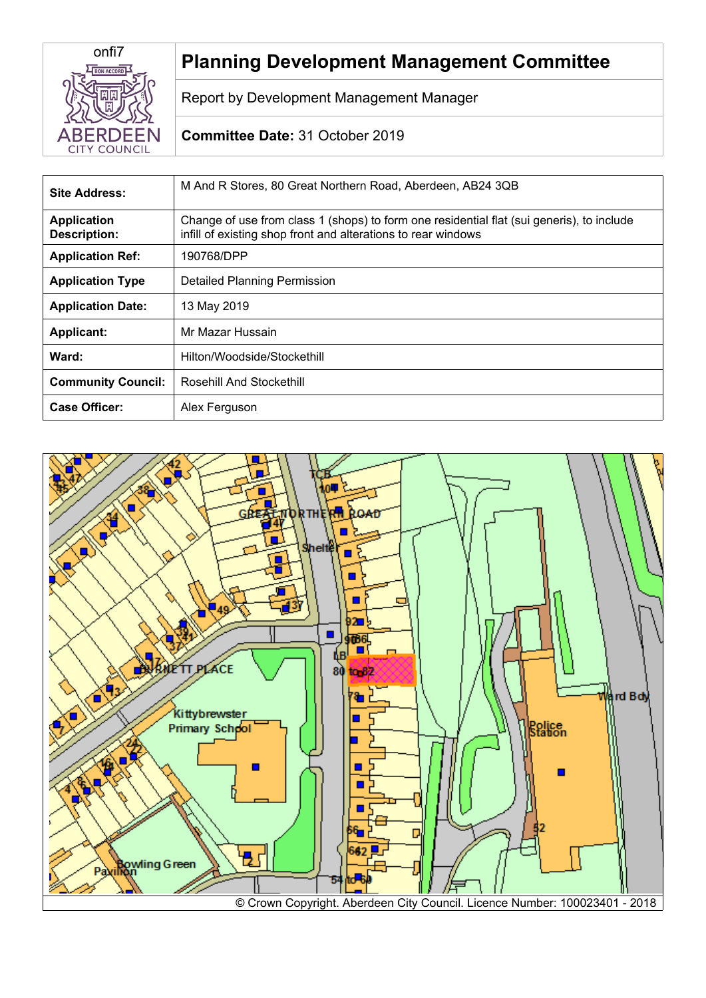

# **Planning Development Management Committee**

Report by Development Management Manager

## **Committee Date:** 31 October 2019

| Site Address:                             | M And R Stores, 80 Great Northern Road, Aberdeen, AB24 3QB                                                                                                 |  |
|-------------------------------------------|------------------------------------------------------------------------------------------------------------------------------------------------------------|--|
| <b>Application</b><br><b>Description:</b> | Change of use from class 1 (shops) to form one residential flat (sui generis), to include<br>infill of existing shop front and alterations to rear windows |  |
| <b>Application Ref:</b>                   | 190768/DPP                                                                                                                                                 |  |
| <b>Application Type</b>                   | <b>Detailed Planning Permission</b>                                                                                                                        |  |
| <b>Application Date:</b>                  | 13 May 2019                                                                                                                                                |  |
| <b>Applicant:</b>                         | Mr Mazar Hussain                                                                                                                                           |  |
| Ward:                                     | Hilton/Woodside/Stockethill                                                                                                                                |  |
| <b>Community Council:</b>                 | Rosehill And Stockethill                                                                                                                                   |  |
| <b>Case Officer:</b>                      | Alex Ferguson                                                                                                                                              |  |

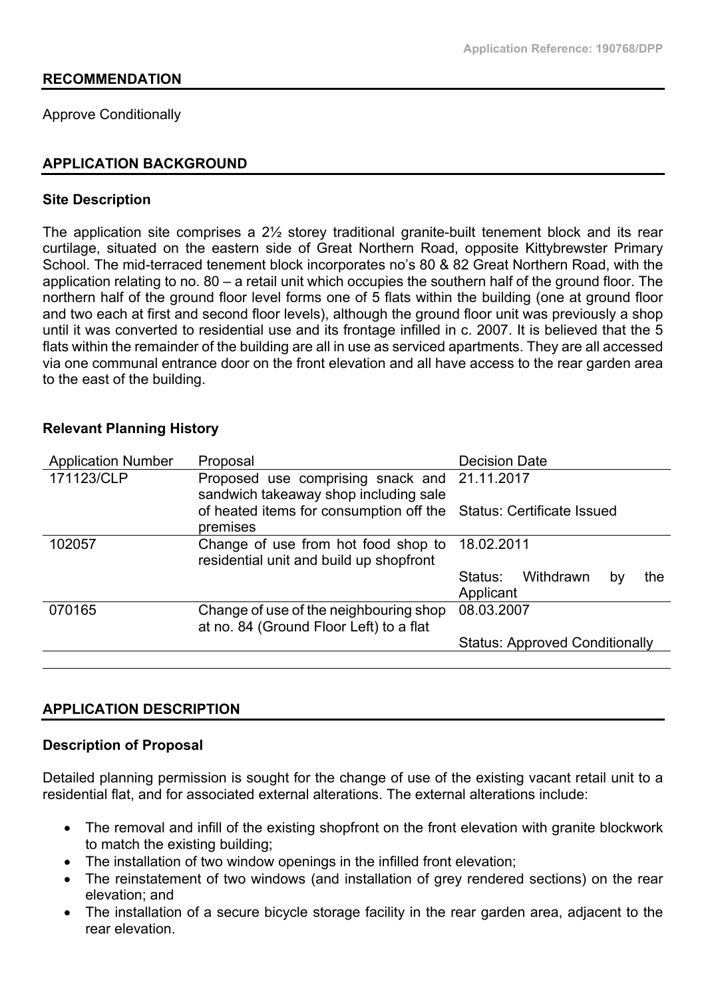#### **RECOMMENDATION**

Approve Conditionally

#### **APPLICATION BACKGROUND**

#### **Site Description**

The application site comprises a 2½ storey traditional granite-built tenement block and its rear curtilage, situated on the eastern side of Great Northern Road, opposite Kittybrewster Primary School. The mid-terraced tenement block incorporates no's 80 & 82 Great Northern Road, with the application relating to no. 80 – a retail unit which occupies the southern half of the ground floor. The northern half of the ground floor level forms one of 5 flats within the building (one at ground floor and two each at first and second floor levels), although the ground floor unit was previously a shop until it was converted to residential use and its frontage infilled in c. 2007. It is believed that the 5 flats within the remainder of the building are all in use as serviced apartments. They are all accessed via one communal entrance door on the front elevation and all have access to the rear garden area to the east of the building.

| velevallt i lahihing mətvi y |                                                                                       |                                                |  |
|------------------------------|---------------------------------------------------------------------------------------|------------------------------------------------|--|
| <b>Application Number</b>    | Proposal                                                                              | <b>Decision Date</b>                           |  |
| 171123/CLP                   | Proposed use comprising snack and 21.11.2017<br>sandwich takeaway shop including sale |                                                |  |
|                              | of heated items for consumption off the Status: Certificate Issued<br>premises        |                                                |  |
| 102057                       | Change of use from hot food shop to<br>residential unit and build up shopfront        | 18.02.2011                                     |  |
|                              |                                                                                       | Withdrawn<br>Status:<br>the<br>by<br>Applicant |  |
| 070165                       | Change of use of the neighbouring shop<br>at no. 84 (Ground Floor Left) to a flat     | 08.03.2007                                     |  |
|                              |                                                                                       | <b>Status: Approved Conditionally</b>          |  |
|                              |                                                                                       |                                                |  |

## **Relevant Planning History**

#### **APPLICATION DESCRIPTION**

#### **Description of Proposal**

Detailed planning permission is sought for the change of use of the existing vacant retail unit to a residential flat, and for associated external alterations. The external alterations include:

- The removal and infill of the existing shopfront on the front elevation with granite blockwork to match the existing building;
- The installation of two window openings in the infilled front elevation;
- The reinstatement of two windows (and installation of grey rendered sections) on the rear elevation; and
- The installation of a secure bicycle storage facility in the rear garden area, adjacent to the rear elevation.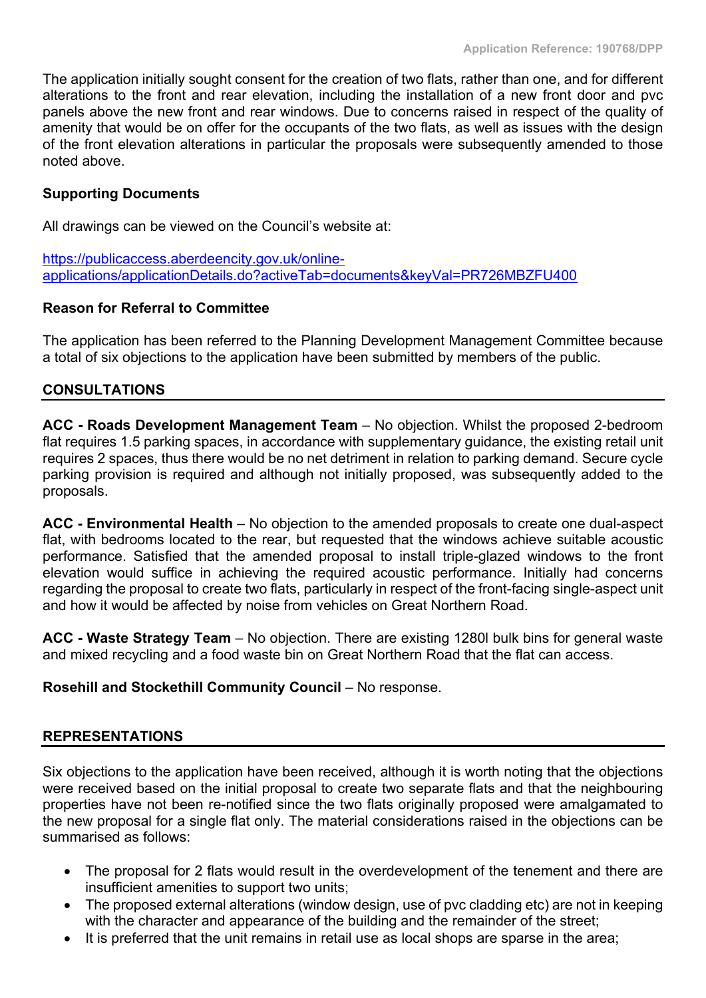The application initially sought consent for the creation of two flats, rather than one, and for different alterations to the front and rear elevation, including the installation of a new front door and pvc panels above the new front and rear windows. Due to concerns raised in respect of the quality of amenity that would be on offer for the occupants of the two flats, as well as issues with the design of the front elevation alterations in particular the proposals were subsequently amended to those noted above.

## **Supporting Documents**

All drawings can be viewed on the Council's website at:

[https://publicaccess.aberdeencity.gov.uk/online](https://publicaccess.aberdeencity.gov.uk/online-applications/applicationDetails.do?activeTab=documents&keyVal=PR726MBZFU400)[applications/applicationDetails.do?activeTab=documents&keyVal=PR726MBZFU400](https://publicaccess.aberdeencity.gov.uk/online-applications/applicationDetails.do?activeTab=documents&keyVal=PR726MBZFU400)

## **Reason for Referral to Committee**

The application has been referred to the Planning Development Management Committee because a total of six objections to the application have been submitted by members of the public.

## **CONSULTATIONS**

**ACC - Roads Development Management Team** – No objection. Whilst the proposed 2-bedroom flat requires 1.5 parking spaces, in accordance with supplementary guidance, the existing retail unit requires 2 spaces, thus there would be no net detriment in relation to parking demand. Secure cycle parking provision is required and although not initially proposed, was subsequently added to the proposals.

**ACC - Environmental Health** – No objection to the amended proposals to create one dual-aspect flat, with bedrooms located to the rear, but requested that the windows achieve suitable acoustic performance. Satisfied that the amended proposal to install triple-glazed windows to the front elevation would suffice in achieving the required acoustic performance. Initially had concerns regarding the proposal to create two flats, particularly in respect of the front-facing single-aspect unit and how it would be affected by noise from vehicles on Great Northern Road.

**ACC - Waste Strategy Team** – No objection. There are existing 1280l bulk bins for general waste and mixed recycling and a food waste bin on Great Northern Road that the flat can access.

## **Rosehill and Stockethill Community Council** – No response.

## **REPRESENTATIONS**

Six objections to the application have been received, although it is worth noting that the objections were received based on the initial proposal to create two separate flats and that the neighbouring properties have not been re-notified since the two flats originally proposed were amalgamated to the new proposal for a single flat only. The material considerations raised in the objections can be summarised as follows:

- The proposal for 2 flats would result in the overdevelopment of the tenement and there are insufficient amenities to support two units;
- The proposed external alterations (window design, use of pvc cladding etc) are not in keeping with the character and appearance of the building and the remainder of the street;
- It is preferred that the unit remains in retail use as local shops are sparse in the area;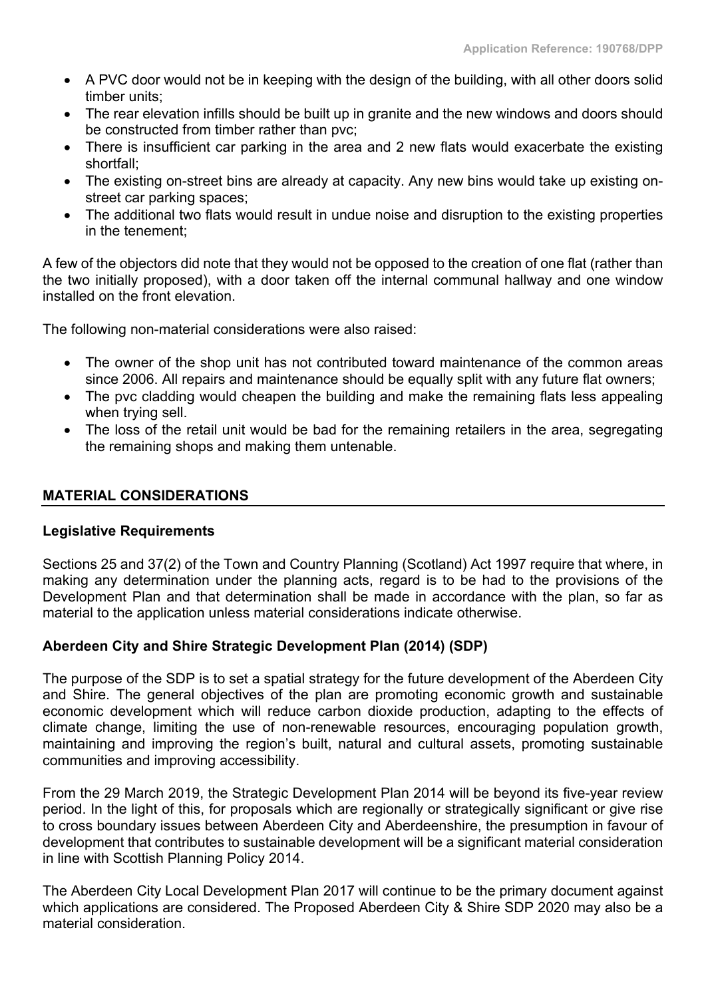- A PVC door would not be in keeping with the design of the building, with all other doors solid timber units;
- The rear elevation infills should be built up in granite and the new windows and doors should be constructed from timber rather than pvc;
- There is insufficient car parking in the area and 2 new flats would exacerbate the existing shortfall;
- The existing on-street bins are already at capacity. Any new bins would take up existing onstreet car parking spaces;
- The additional two flats would result in undue noise and disruption to the existing properties in the tenement;

A few of the objectors did note that they would not be opposed to the creation of one flat (rather than the two initially proposed), with a door taken off the internal communal hallway and one window installed on the front elevation.

The following non-material considerations were also raised:

- The owner of the shop unit has not contributed toward maintenance of the common areas since 2006. All repairs and maintenance should be equally split with any future flat owners;
- The pvc cladding would cheapen the building and make the remaining flats less appealing when trying sell.
- The loss of the retail unit would be bad for the remaining retailers in the area, segregating the remaining shops and making them untenable.

## **MATERIAL CONSIDERATIONS**

#### **Legislative Requirements**

Sections 25 and 37(2) of the Town and Country Planning (Scotland) Act 1997 require that where, in making any determination under the planning acts, regard is to be had to the provisions of the Development Plan and that determination shall be made in accordance with the plan, so far as material to the application unless material considerations indicate otherwise.

## **Aberdeen City and Shire Strategic Development Plan (2014) (SDP)**

The purpose of the SDP is to set a spatial strategy for the future development of the Aberdeen City and Shire. The general objectives of the plan are promoting economic growth and sustainable economic development which will reduce carbon dioxide production, adapting to the effects of climate change, limiting the use of non-renewable resources, encouraging population growth, maintaining and improving the region's built, natural and cultural assets, promoting sustainable communities and improving accessibility.

From the 29 March 2019, the Strategic Development Plan 2014 will be beyond its five-year review period. In the light of this, for proposals which are regionally or strategically significant or give rise to cross boundary issues between Aberdeen City and Aberdeenshire, the presumption in favour of development that contributes to sustainable development will be a significant material consideration in line with Scottish Planning Policy 2014.

The Aberdeen City Local Development Plan 2017 will continue to be the primary document against which applications are considered. The Proposed Aberdeen City & Shire SDP 2020 may also be a material consideration.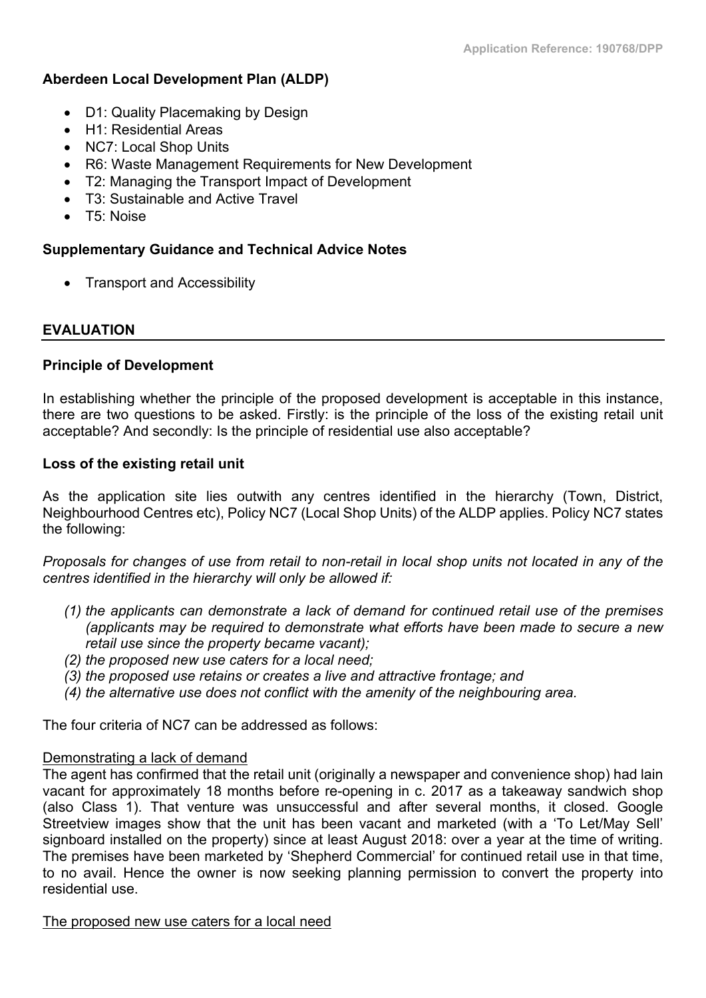## **Aberdeen Local Development Plan (ALDP)**

- D1: Quality Placemaking by Design
- H1: Residential Areas
- NC7: Local Shop Units
- R6: Waste Management Requirements for New Development
- T2: Managing the Transport Impact of Development
- T3: Sustainable and Active Travel
- T5: Noise

## **Supplementary Guidance and Technical Advice Notes**

• Transport and Accessibility

## **EVALUATION**

## **Principle of Development**

In establishing whether the principle of the proposed development is acceptable in this instance, there are two questions to be asked. Firstly: is the principle of the loss of the existing retail unit acceptable? And secondly: Is the principle of residential use also acceptable?

## **Loss of the existing retail unit**

As the application site lies outwith any centres identified in the hierarchy (Town, District, Neighbourhood Centres etc), Policy NC7 (Local Shop Units) of the ALDP applies. Policy NC7 states the following:

Proposals for changes of use from retail to non-retail in local shop units not located in any of the *centres identified in the hierarchy will only be allowed if:*

- *(1) the applicants can demonstrate a lack of demand for continued retail use of the premises (applicants may be required to demonstrate what efforts have been made to secure a new retail use since the property became vacant);*
- *(2) the proposed new use caters for a local need;*
- *(3) the proposed use retains or creates a live and attractive frontage; and*
- *(4) the alternative use does not conflict with the amenity of the neighbouring area.*

The four criteria of NC7 can be addressed as follows:

## Demonstrating a lack of demand

The agent has confirmed that the retail unit (originally a newspaper and convenience shop) had lain vacant for approximately 18 months before re-opening in c. 2017 as a takeaway sandwich shop (also Class 1). That venture was unsuccessful and after several months, it closed. Google Streetview images show that the unit has been vacant and marketed (with a 'To Let/May Sell' signboard installed on the property) since at least August 2018: over a year at the time of writing. The premises have been marketed by 'Shepherd Commercial' for continued retail use in that time, to no avail. Hence the owner is now seeking planning permission to convert the property into residential use.

The proposed new use caters for a local need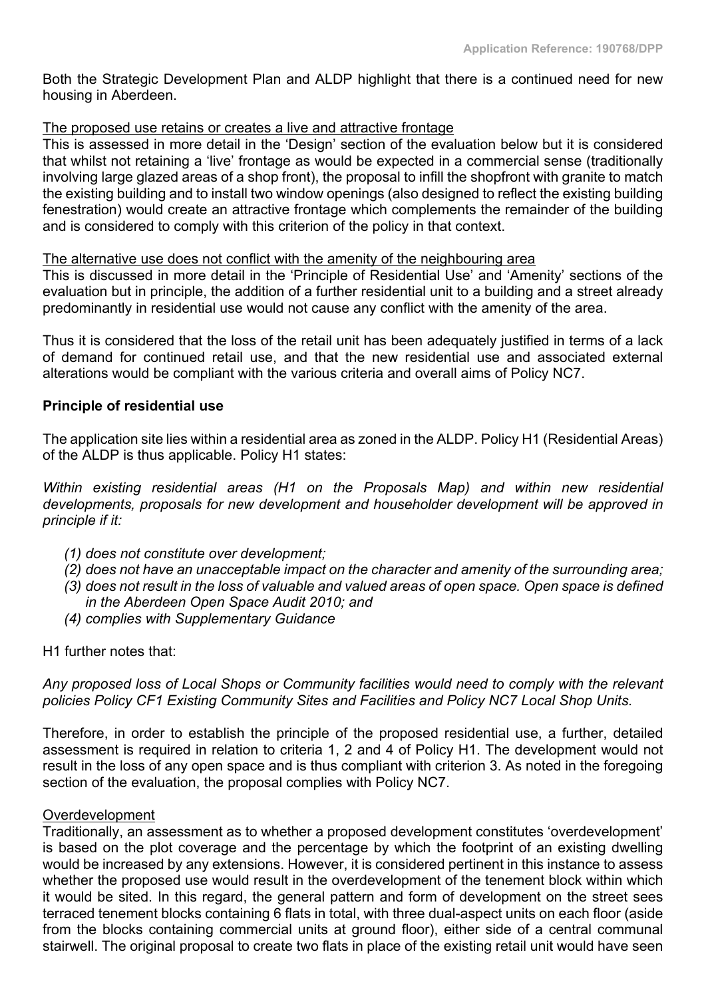Both the Strategic Development Plan and ALDP highlight that there is a continued need for new housing in Aberdeen.

## The proposed use retains or creates a live and attractive frontage

This is assessed in more detail in the 'Design' section of the evaluation below but it is considered that whilst not retaining a 'live' frontage as would be expected in a commercial sense (traditionally involving large glazed areas of a shop front), the proposal to infill the shopfront with granite to match the existing building and to install two window openings (also designed to reflect the existing building fenestration) would create an attractive frontage which complements the remainder of the building and is considered to comply with this criterion of the policy in that context.

#### The alternative use does not conflict with the amenity of the neighbouring area

This is discussed in more detail in the 'Principle of Residential Use' and 'Amenity' sections of the evaluation but in principle, the addition of a further residential unit to a building and a street already predominantly in residential use would not cause any conflict with the amenity of the area.

Thus it is considered that the loss of the retail unit has been adequately justified in terms of a lack of demand for continued retail use, and that the new residential use and associated external alterations would be compliant with the various criteria and overall aims of Policy NC7.

#### **Principle of residential use**

The application site lies within a residential area as zoned in the ALDP. Policy H1 (Residential Areas) of the ALDP is thus applicable. Policy H1 states:

*Within existing residential areas (H1 on the Proposals Map) and within new residential developments, proposals for new development and householder development will be approved in principle if it:*

- *(1) does not constitute over development;*
- *(2) does not have an unacceptable impact on the character and amenity of the surrounding area;*
- (3) does not result in the loss of valuable and valued areas of open space. Open space is defined *in the Aberdeen Open Space Audit 2010; and*
- *(4) complies with Supplementary Guidance*

H1 further notes that:

*Any proposed loss of Local Shops or Community facilities would need to comply with the relevant policies Policy CF1 Existing Community Sites and Facilities and Policy NC7 Local Shop Units.*

Therefore, in order to establish the principle of the proposed residential use, a further, detailed assessment is required in relation to criteria 1, 2 and 4 of Policy H1. The development would not result in the loss of any open space and is thus compliant with criterion 3. As noted in the foregoing section of the evaluation, the proposal complies with Policy NC7.

## **Overdevelopment**

Traditionally, an assessment as to whether a proposed development constitutes 'overdevelopment' is based on the plot coverage and the percentage by which the footprint of an existing dwelling would be increased by any extensions. However, it is considered pertinent in this instance to assess whether the proposed use would result in the overdevelopment of the tenement block within which it would be sited. In this regard, the general pattern and form of development on the street sees terraced tenement blocks containing 6 flats in total, with three dual-aspect units on each floor (aside from the blocks containing commercial units at ground floor), either side of a central communal stairwell. The original proposal to create two flats in place of the existing retail unit would have seen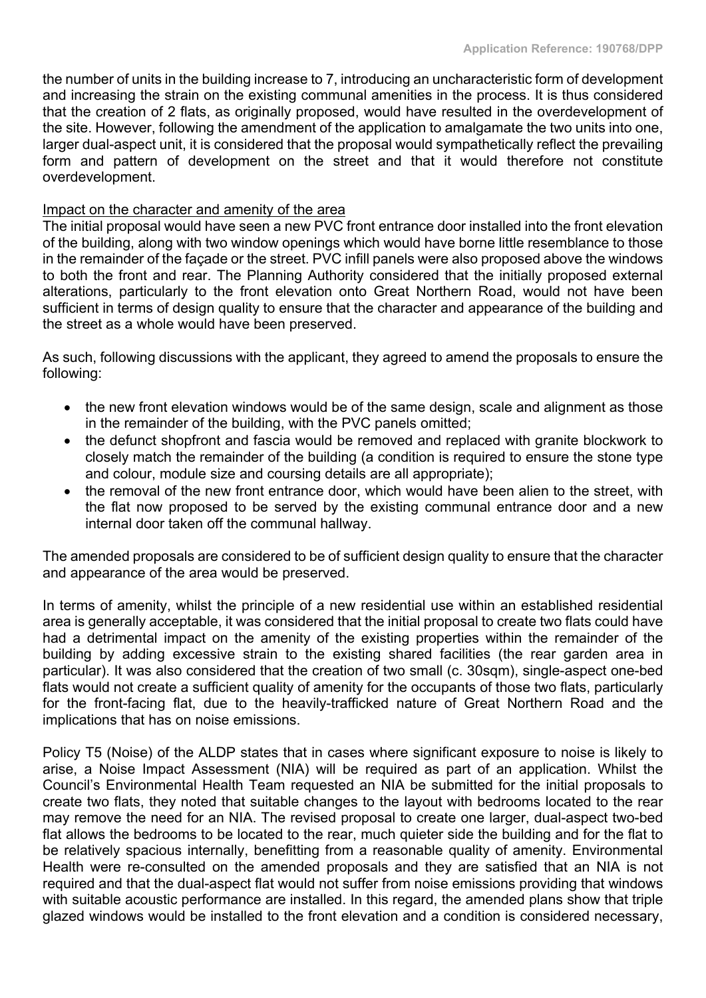the number of units in the building increase to 7, introducing an uncharacteristic form of development and increasing the strain on the existing communal amenities in the process. It is thus considered that the creation of 2 flats, as originally proposed, would have resulted in the overdevelopment of the site. However, following the amendment of the application to amalgamate the two units into one, larger dual-aspect unit, it is considered that the proposal would sympathetically reflect the prevailing form and pattern of development on the street and that it would therefore not constitute overdevelopment.

#### Impact on the character and amenity of the area

The initial proposal would have seen a new PVC front entrance door installed into the front elevation of the building, along with two window openings which would have borne little resemblance to those in the remainder of the façade or the street. PVC infill panels were also proposed above the windows to both the front and rear. The Planning Authority considered that the initially proposed external alterations, particularly to the front elevation onto Great Northern Road, would not have been sufficient in terms of design quality to ensure that the character and appearance of the building and the street as a whole would have been preserved.

As such, following discussions with the applicant, they agreed to amend the proposals to ensure the following:

- the new front elevation windows would be of the same design, scale and alignment as those in the remainder of the building, with the PVC panels omitted;
- the defunct shopfront and fascia would be removed and replaced with granite blockwork to closely match the remainder of the building (a condition is required to ensure the stone type and colour, module size and coursing details are all appropriate);
- the removal of the new front entrance door, which would have been alien to the street, with the flat now proposed to be served by the existing communal entrance door and a new internal door taken off the communal hallway.

The amended proposals are considered to be of sufficient design quality to ensure that the character and appearance of the area would be preserved.

In terms of amenity, whilst the principle of a new residential use within an established residential area is generally acceptable, it was considered that the initial proposal to create two flats could have had a detrimental impact on the amenity of the existing properties within the remainder of the building by adding excessive strain to the existing shared facilities (the rear garden area in particular). It was also considered that the creation of two small (c. 30sqm), single-aspect one-bed flats would not create a sufficient quality of amenity for the occupants of those two flats, particularly for the front-facing flat, due to the heavily-trafficked nature of Great Northern Road and the implications that has on noise emissions.

Policy T5 (Noise) of the ALDP states that in cases where significant exposure to noise is likely to arise, a Noise Impact Assessment (NIA) will be required as part of an application. Whilst the Council's Environmental Health Team requested an NIA be submitted for the initial proposals to create two flats, they noted that suitable changes to the layout with bedrooms located to the rear may remove the need for an NIA. The revised proposal to create one larger, dual-aspect two-bed flat allows the bedrooms to be located to the rear, much quieter side the building and for the flat to be relatively spacious internally, benefitting from a reasonable quality of amenity. Environmental Health were re-consulted on the amended proposals and they are satisfied that an NIA is not required and that the dual-aspect flat would not suffer from noise emissions providing that windows with suitable acoustic performance are installed. In this regard, the amended plans show that triple glazed windows would be installed to the front elevation and a condition is considered necessary,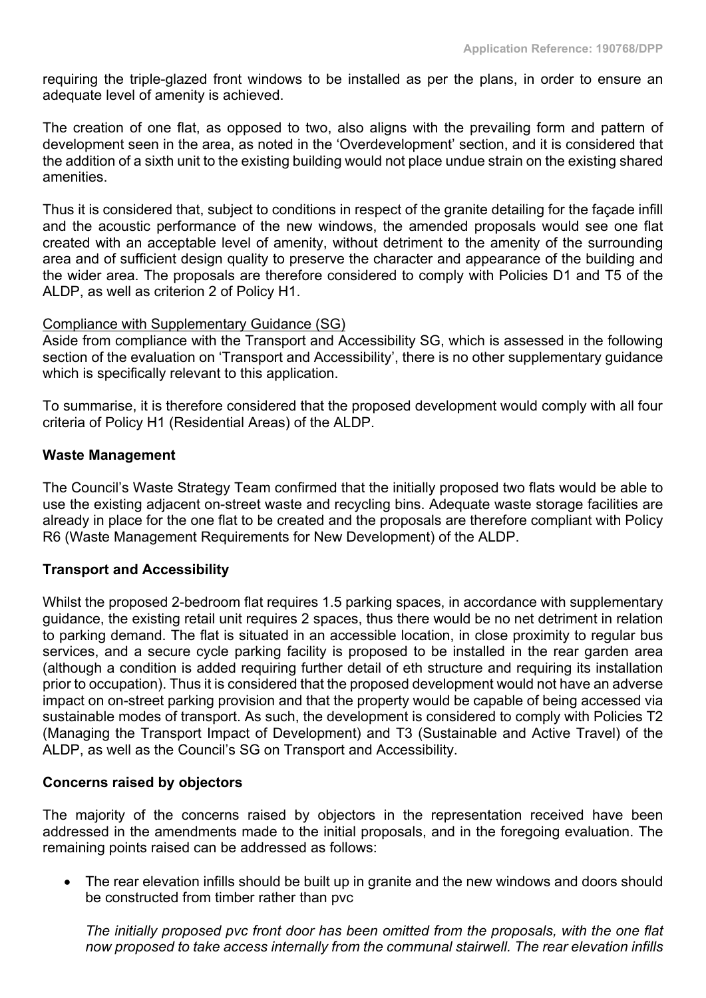requiring the triple-glazed front windows to be installed as per the plans, in order to ensure an adequate level of amenity is achieved.

The creation of one flat, as opposed to two, also aligns with the prevailing form and pattern of development seen in the area, as noted in the 'Overdevelopment' section, and it is considered that the addition of a sixth unit to the existing building would not place undue strain on the existing shared amenities.

Thus it is considered that, subject to conditions in respect of the granite detailing for the façade infill and the acoustic performance of the new windows, the amended proposals would see one flat created with an acceptable level of amenity, without detriment to the amenity of the surrounding area and of sufficient design quality to preserve the character and appearance of the building and the wider area. The proposals are therefore considered to comply with Policies D1 and T5 of the ALDP, as well as criterion 2 of Policy H1.

## Compliance with Supplementary Guidance (SG)

Aside from compliance with the Transport and Accessibility SG, which is assessed in the following section of the evaluation on 'Transport and Accessibility', there is no other supplementary quidance which is specifically relevant to this application.

To summarise, it is therefore considered that the proposed development would comply with all four criteria of Policy H1 (Residential Areas) of the ALDP.

#### **Waste Management**

The Council's Waste Strategy Team confirmed that the initially proposed two flats would be able to use the existing adjacent on-street waste and recycling bins. Adequate waste storage facilities are already in place for the one flat to be created and the proposals are therefore compliant with Policy R6 (Waste Management Requirements for New Development) of the ALDP.

## **Transport and Accessibility**

Whilst the proposed 2-bedroom flat requires 1.5 parking spaces, in accordance with supplementary guidance, the existing retail unit requires 2 spaces, thus there would be no net detriment in relation to parking demand. The flat is situated in an accessible location, in close proximity to regular bus services, and a secure cycle parking facility is proposed to be installed in the rear garden area (although a condition is added requiring further detail of eth structure and requiring its installation prior to occupation). Thus it is considered that the proposed development would not have an adverse impact on on-street parking provision and that the property would be capable of being accessed via sustainable modes of transport. As such, the development is considered to comply with Policies T2 (Managing the Transport Impact of Development) and T3 (Sustainable and Active Travel) of the ALDP, as well as the Council's SG on Transport and Accessibility.

#### **Concerns raised by objectors**

The majority of the concerns raised by objectors in the representation received have been addressed in the amendments made to the initial proposals, and in the foregoing evaluation. The remaining points raised can be addressed as follows:

 The rear elevation infills should be built up in granite and the new windows and doors should be constructed from timber rather than pvc

*The initially proposed pvc front door has been omitted from the proposals, with the one flat now proposed to take access internally from the communal stairwell. The rear elevation infills*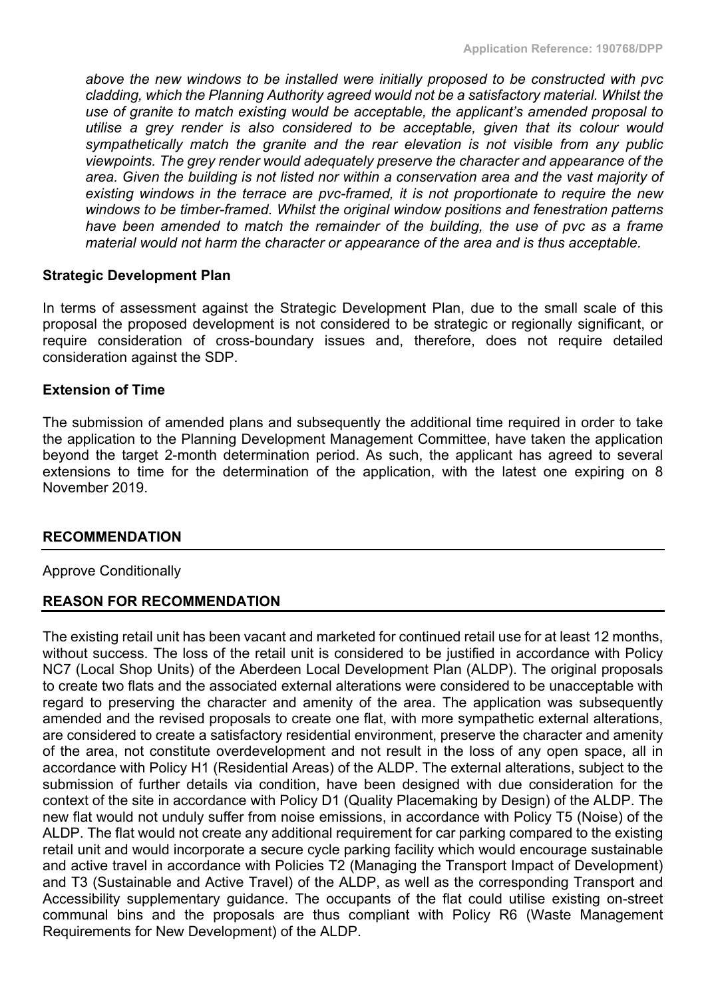*above the new windows to be installed were initially proposed to be constructed with pvc cladding, which the Planning Authority agreed would not be a satisfactory material. Whilst the use of granite to match existing would be acceptable, the applicant's amended proposal to utilise a grey render is also considered to be acceptable, given that its colour would sympathetically match the granite and the rear elevation is not visible from any public viewpoints. The grey render would adequately preserve the character and appearance of the area. Given the building is not listed nor within a conservation area and the vast majority of existing windows in the terrace are pvc-framed, it is not proportionate to require the new windows to be timber-framed. Whilst the original window positions and fenestration patterns have been amended to match the remainder of the building, the use of pvc as a frame material would not harm the character or appearance of the area and is thus acceptable.*

#### **Strategic Development Plan**

In terms of assessment against the Strategic Development Plan, due to the small scale of this proposal the proposed development is not considered to be strategic or regionally significant, or require consideration of cross-boundary issues and, therefore, does not require detailed consideration against the SDP.

## **Extension of Time**

The submission of amended plans and subsequently the additional time required in order to take the application to the Planning Development Management Committee, have taken the application beyond the target 2-month determination period. As such, the applicant has agreed to several extensions to time for the determination of the application, with the latest one expiring on 8 November 2019.

#### **RECOMMENDATION**

#### Approve Conditionally

## **REASON FOR RECOMMENDATION**

The existing retail unit has been vacant and marketed for continued retail use for at least 12 months, without success. The loss of the retail unit is considered to be justified in accordance with Policy NC7 (Local Shop Units) of the Aberdeen Local Development Plan (ALDP). The original proposals to create two flats and the associated external alterations were considered to be unacceptable with regard to preserving the character and amenity of the area. The application was subsequently amended and the revised proposals to create one flat, with more sympathetic external alterations, are considered to create a satisfactory residential environment, preserve the character and amenity of the area, not constitute overdevelopment and not result in the loss of any open space, all in accordance with Policy H1 (Residential Areas) of the ALDP. The external alterations, subject to the submission of further details via condition, have been designed with due consideration for the context of the site in accordance with Policy D1 (Quality Placemaking by Design) of the ALDP. The new flat would not unduly suffer from noise emissions, in accordance with Policy T5 (Noise) of the ALDP. The flat would not create any additional requirement for car parking compared to the existing retail unit and would incorporate a secure cycle parking facility which would encourage sustainable and active travel in accordance with Policies T2 (Managing the Transport Impact of Development) and T3 (Sustainable and Active Travel) of the ALDP, as well as the corresponding Transport and Accessibility supplementary guidance. The occupants of the flat could utilise existing on-street communal bins and the proposals are thus compliant with Policy R6 (Waste Management Requirements for New Development) of the ALDP.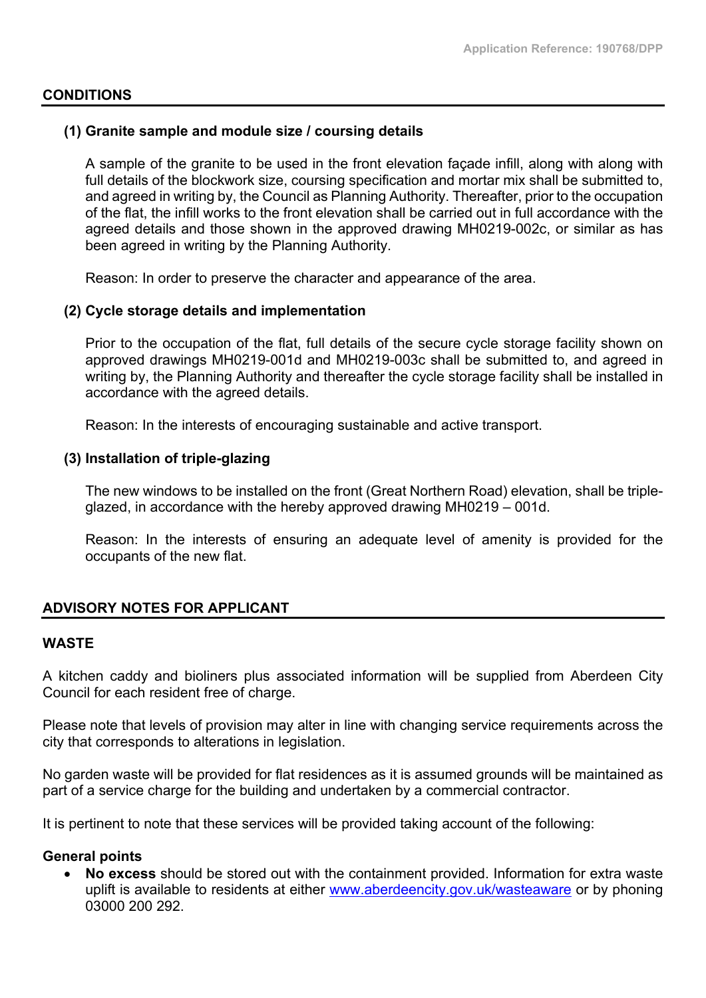#### **CONDITIONS**

#### **(1) Granite sample and module size / coursing details**

A sample of the granite to be used in the front elevation façade infill, along with along with full details of the blockwork size, coursing specification and mortar mix shall be submitted to, and agreed in writing by, the Council as Planning Authority. Thereafter, prior to the occupation of the flat, the infill works to the front elevation shall be carried out in full accordance with the agreed details and those shown in the approved drawing MH0219-002c, or similar as has been agreed in writing by the Planning Authority.

Reason: In order to preserve the character and appearance of the area.

#### **(2) Cycle storage details and implementation**

Prior to the occupation of the flat, full details of the secure cycle storage facility shown on approved drawings MH0219-001d and MH0219-003c shall be submitted to, and agreed in writing by, the Planning Authority and thereafter the cycle storage facility shall be installed in accordance with the agreed details.

Reason: In the interests of encouraging sustainable and active transport.

#### **(3) Installation of triple-glazing**

The new windows to be installed on the front (Great Northern Road) elevation, shall be tripleglazed, in accordance with the hereby approved drawing MH0219 – 001d.

Reason: In the interests of ensuring an adequate level of amenity is provided for the occupants of the new flat.

#### **ADVISORY NOTES FOR APPLICANT**

#### **WASTE**

A kitchen caddy and bioliners plus associated information will be supplied from Aberdeen City Council for each resident free of charge.

Please note that levels of provision may alter in line with changing service requirements across the city that corresponds to alterations in legislation.

No garden waste will be provided for flat residences as it is assumed grounds will be maintained as part of a service charge for the building and undertaken by a commercial contractor.

It is pertinent to note that these services will be provided taking account of the following:

#### **General points**

 **No excess** should be stored out with the containment provided. Information for extra waste uplift is available to residents at either [www.aberdeencity.gov.uk/wasteaware](http://www.aberdeencity.gov.uk/wasteaware) or by phoning 03000 200 292.